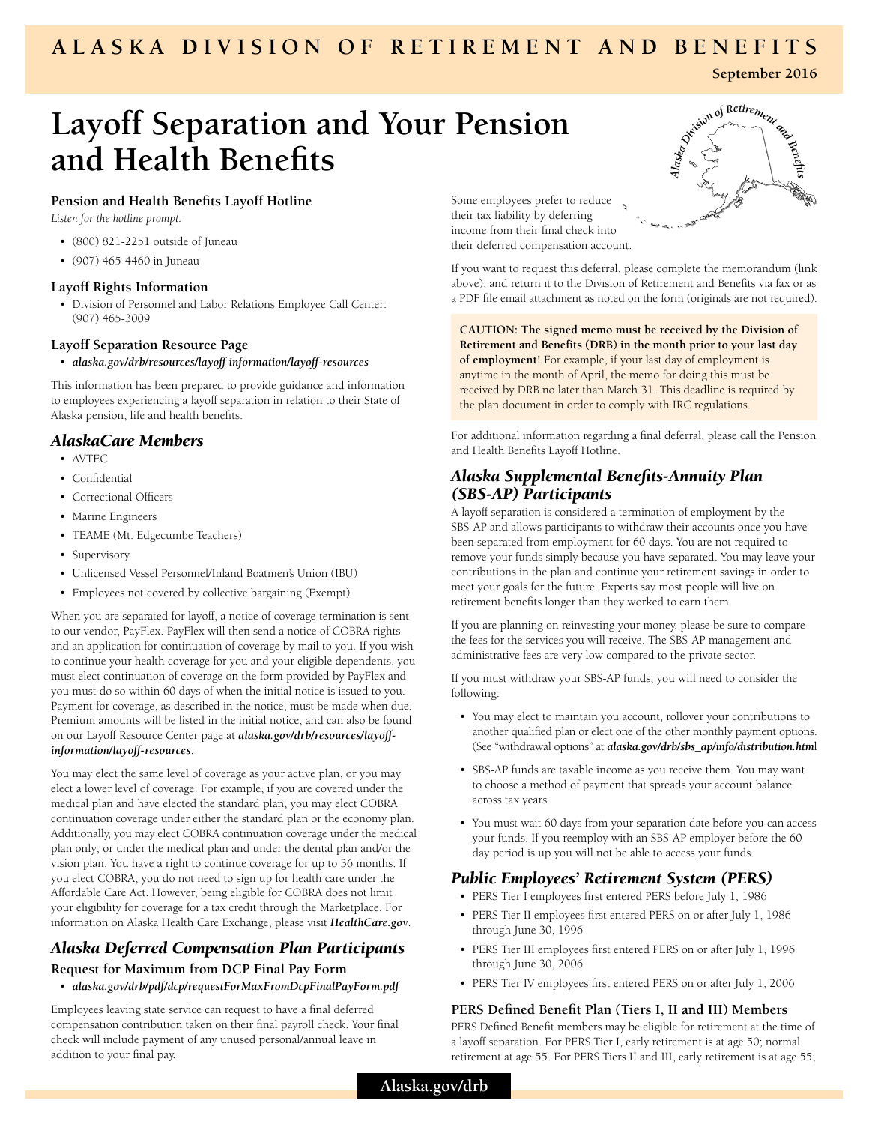# **ALASKA DIVISION OF RETIREMENT AND BENEFITS**

# **Layoff Separation and Your Pension and Health Benefits**

## **Pension and Health Benefits Layoff Hotline**

*Listen for the hotline prompt.*

- (800) 821-2251 outside of Juneau
- (907) 465-4460 in Juneau

### **Layoff Rights Information**

• Division of Personnel and Labor Relations Employee Call Center: (907) 465-3009

## **Layoff Separation Resource Page**

• *alaska.gov/drb/resources/layoff information/layoff-resources*

This information has been prepared to provide guidance and information to employees experiencing a layoff separation in relation to their State of Alaska pension, life and health benefits.

# *AlaskaCare Members*

- AVTEC
- Confidential
- Correctional Officers
- Marine Engineers
- TEAME (Mt. Edgecumbe Teachers)
- Supervisory
- Unlicensed Vessel Personnel/Inland Boatmen's Union (IBU)
- Employees not covered by collective bargaining (Exempt)

When you are separated for layoff, a notice of coverage termination is sent to our vendor, PayFlex. PayFlex will then send a notice of COBRA rights and an application for continuation of coverage by mail to you. If you wish to continue your health coverage for you and your eligible dependents, you must elect continuation of coverage on the form provided by PayFlex and you must do so within 60 days of when the initial notice is issued to you. Payment for coverage, as described in the notice, must be made when due. Premium amounts will be listed in the initial notice, and can also be found on our Layoff Resource Center page at *alaska.gov/drb/resources/layoffinformation/layoff-resources*.

You may elect the same level of coverage as your active plan, or you may elect a lower level of coverage. For example, if you are covered under the medical plan and have elected the standard plan, you may elect COBRA continuation coverage under either the standard plan or the economy plan. Additionally, you may elect COBRA continuation coverage under the medical plan only; or under the medical plan and under the dental plan and/or the vision plan. You have a right to continue coverage for up to 36 months. If you elect COBRA, you do not need to sign up for health care under the Affordable Care Act. However, being eligible for COBRA does not limit your eligibility for coverage for a tax credit through the Marketplace. For information on Alaska Health Care Exchange, please visit *HealthCare.gov*.

# *Alaska Deferred Compensation Plan Participants*

## **Request for Maximum from DCP Final Pay Form**

• *alaska.gov/drb/pdf/dcp/requestForMaxFromDcpFinalPayForm.pdf* 

Employees leaving state service can request to have a final deferred compensation contribution taken on their final payroll check. Your final check will include payment of any unused personal/annual leave in addition to your final pay.



Some employees prefer to reduce their tax liability by deferring income from their final check into their deferred compensation account.

If you want to request this deferral, please complete the memorandum (link above), and return it to the Division of Retirement and Benefits via fax or as a PDF file email attachment as noted on the form (originals are not required).

**CAUTION: The signed memo must be received by the Division of Retirement and Benefits (DRB) in the month prior to your last day of employment!** For example, if your last day of employment is anytime in the month of April, the memo for doing this must be received by DRB no later than March 31. This deadline is required by the plan document in order to comply with IRC regulations.

For additional information regarding a final deferral, please call the Pension and Health Benefits Layoff Hotline.

## *Alaska Supplemental Benefits-Annuity Plan (SBS-AP) Participants*

A layoff separation is considered a termination of employment by the SBS-AP and allows participants to withdraw their accounts once you have been separated from employment for 60 days. You are not required to remove your funds simply because you have separated. You may leave your contributions in the plan and continue your retirement savings in order to meet your goals for the future. Experts say most people will live on retirement benefits longer than they worked to earn them.

If you are planning on reinvesting your money, please be sure to compare the fees for the services you will receive. The SBS-AP management and administrative fees are very low compared to the private sector.

If you must withdraw your SBS-AP funds, you will need to consider the following:

- You may elect to maintain you account, rollover your contributions to another qualified plan or elect one of the other monthly payment options. (See "withdrawal options" at *alaska.gov/drb/sbs\_ap/info/distribution.htm*l
- SBS-AP funds are taxable income as you receive them. You may want to choose a method of payment that spreads your account balance across tax years.
- You must wait 60 days from your separation date before you can access your funds. If you reemploy with an SBS-AP employer before the 60 day period is up you will not be able to access your funds.

# *Public Employees' Retirement System (PERS)*

- PERS Tier I employees first entered PERS before July 1, 1986
- PERS Tier II employees first entered PERS on or after July 1, 1986 through June 30, 1996
- PERS Tier III employees first entered PERS on or after July 1, 1996 through June 30, 2006
- PERS Tier IV employees first entered PERS on or after July 1, 2006

#### **PERS Defined Benefit Plan (Tiers I, II and III) Members**

PERS Defined Benefit members may be eligible for retirement at the time of a layoff separation. For PERS Tier I, early retirement is at age 50; normal retirement at age 55. For PERS Tiers II and III, early retirement is at age 55;

**September 2016**